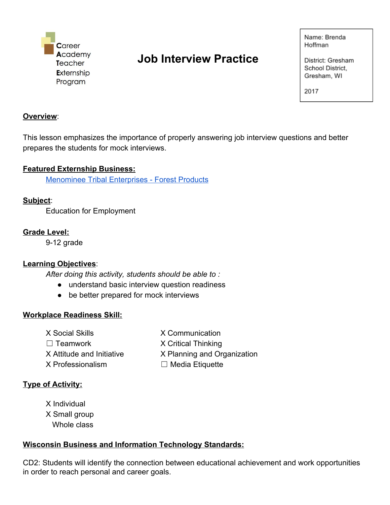

# **Job Interview Practice**

Name: Brenda Hoffman

District: Gresham School District. Gresham, WI

2017

#### **Overview**:

This lesson emphasizes the importance of properly answering job interview questions and better prepares the students for mock interviews.

### **Featured Externship Business:**

[Menominee](http://www.mtewood.com/) Tribal Enterprises - Forest Products

### **Subject**:

Education for Employment

### **Grade Level:**

9-12 grade

### **Learning Objectives**:

*After doing this activity, students should be able to :*

- understand basic interview question readiness
- be better prepared for mock interviews

### **Workplace Readiness Skill:**

X Social Skills X Communication □ Teamwork X Critical Thinking X Professionalism ☐ Media Etiquette

X Attitude and Initiative X Planning and Organization

### **Type of Activity:**

X Individual X Small group Whole class

# **Wisconsin Business and Information Technology Standards:**

CD2: Students will identify the connection between educational achievement and work opportunities in order to reach personal and career goals.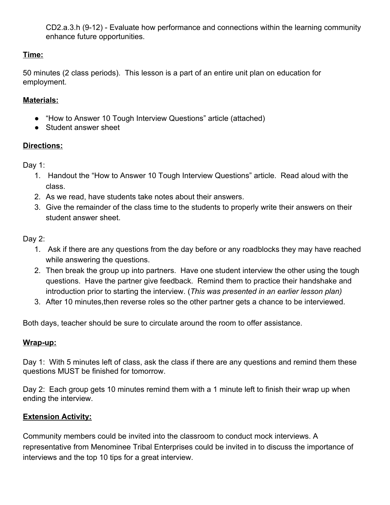CD2.a.3.h (9-12) - Evaluate how performance and connections within the learning community enhance future opportunities.

### **Time:**

50 minutes (2 class periods). This lesson is a part of an entire unit plan on education for employment.

### **Materials:**

- "How to Answer 10 Tough Interview Questions" article (attached)
- Student answer sheet

### **Directions:**

Day 1:

- 1. Handout the "How to Answer 10 Tough Interview Questions" article. Read aloud with the class.
- 2. As we read, have students take notes about their answers.
- 3. Give the remainder of the class time to the students to properly write their answers on their student answer sheet.

Day 2:

- 1. Ask if there are any questions from the day before or any roadblocks they may have reached while answering the questions.
- 2. Then break the group up into partners. Have one student interview the other using the tough questions. Have the partner give feedback. Remind them to practice their handshake and introduction prior to starting the interview. (*This was presented in an earlier lesson plan)*
- 3. After 10 minutes,then reverse roles so the other partner gets a chance to be interviewed.

Both days, teacher should be sure to circulate around the room to offer assistance.

### **Wrap-up:**

Day 1: With 5 minutes left of class, ask the class if there are any questions and remind them these questions MUST be finished for tomorrow.

Day 2: Each group gets 10 minutes remind them with a 1 minute left to finish their wrap up when ending the interview.

# **Extension Activity:**

Community members could be invited into the classroom to conduct mock interviews. A representative from Menominee Tribal Enterprises could be invited in to discuss the importance of interviews and the top 10 tips for a great interview.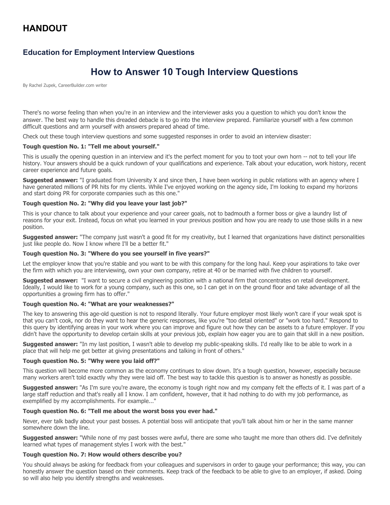# **HANDOUT**

### **Education for Employment Interview Questions**

# **How to Answer 10 Tough Interview Questions**

By Rachel Zupek, CareerBuilder.com writer

There's no worse feeling than when you're in an interview and the interviewer asks you a question to which you don't know the answer. The best way to handle this dreaded debacle is to go into the interview prepared. Familiarize yourself with a few common difficult questions and arm yourself with answers prepared ahead of time.

Check out these tough interview questions and some suggested responses in order to avoid an interview disaster:

#### **Tough question No. 1: "Tell me about yourself."**

This is usually the opening question in an interview and it's the perfect moment for you to toot your own horn -- not to tell your life history. Your answers should be a quick rundown of your qualifications and experience. Talk about your education, work history, recent career experience and future goals.

**Suggested answer:** "I graduated from University X and since then, I have been working in public relations with an agency where I have generated millions of PR hits for my clients. While I've enjoyed working on the agency side, I'm looking to expand my horizons and start doing PR for corporate companies such as this one."

#### **Tough question No. 2: "Why did you leave your last job?"**

This is your chance to talk about your experience and your career goals, not to badmouth a former boss or give a laundry list of reasons for your exit. Instead, focus on what you learned in your previous position and how you are ready to use those skills in a new position.

**Suggested answer:** "The company just wasn't a good fit for my creativity, but I learned that organizations have distinct personalities just like people do. Now I know where I'll be a better fit."

#### **Tough question No. 3: "Where do you see yourself in five years?"**

Let the employer know that you're stable and you want to be with this company for the long haul. Keep your aspirations to take over the firm with which you are interviewing, own your own company, retire at 40 or be married with five children to yourself.

**Suggested answer:** "I want to secure a civil engineering position with a national firm that concentrates on retail development. Ideally, I would like to work for a young company, such as this one, so I can get in on the ground floor and take advantage of all the opportunities a growing firm has to offer."

#### **Tough question No. 4: "What are your weaknesses?"**

The key to answering this age-old question is not to respond literally. Your future employer most likely won't care if your weak spot is that you can't cook, nor do they want to hear the generic responses, like you're "too detail oriented" or "work too hard." Respond to this query by identifying areas in your work where you can improve and figure out how they can be assets to a future employer. If you didn't have the opportunity to develop certain skills at your previous job, explain how eager you are to gain that skill in a new position.

**Suggested answer:** "In my last position, I wasn't able to develop my public-speaking skills. I'd really like to be able to work in a place that will help me get better at giving presentations and talking in front of others."

#### **Tough question No. 5: "Why were you laid off?"**

This question will become more common as the economy continues to slow down. It's a tough question, however, especially because many workers aren't told exactly why they were laid off. The best way to tackle this question is to answer as honestly as possible.

**Suggested answer:** "As I'm sure you're aware, the economy is tough right now and my company felt the effects of it. I was part of a large staff reduction and that's really all I know. I am confident, however, that it had nothing to do with my job performance, as exemplified by my accomplishments. For example..."

#### **Tough question No. 6: "Tell me about the worst boss you ever had."**

Never, ever talk badly about your past bosses. A potential boss will anticipate that you'll talk about him or her in the same manner somewhere down the line.

**Suggested answer:** "While none of my past bosses were awful, there are some who taught me more than others did. I've definitely learned what types of management styles I work with the best."

#### **Tough question No. 7: How would others describe you?**

You should always be asking for feedback from your colleagues and supervisors in order to gauge your performance; this way, you can honestly answer the question based on their comments. Keep track of the feedback to be able to give to an employer, if asked. Doing so will also help you identify strengths and weaknesses.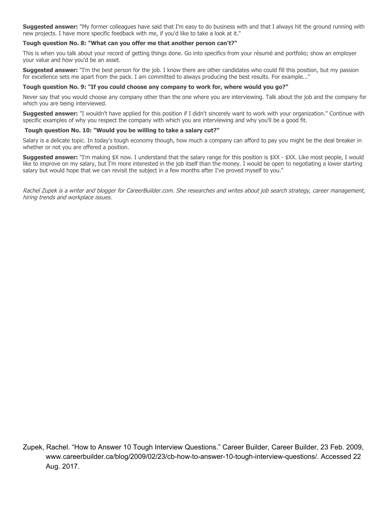**Suggested answer:** "My former colleagues have said that I'm easy to do business with and that I always hit the ground running with new projects. I have more specific feedback with me, if you'd like to take a look at it."

#### **Tough question No. 8: "What can you offer me that another person can't?"**

This is when you talk about your record of getting things done. Go into specifics from your résumé and portfolio; show an employer your value and how you'd be an asset.

**Suggested answer:** "I'm the best person for the job. I know there are other candidates who could fill this position, but my passion for excellence sets me apart from the pack. I am committed to always producing the best results. For example..."

#### **Tough question No. 9: "If you could choose any company to work for, where would you go?"**

Never say that you would choose any company other than the one where you are interviewing. Talk about the job and the company for which you are being interviewed.

**Suggested answer:** "I wouldn't have applied for this position if I didn't sincerely want to work with your organization." Continue with specific examples of why you respect the company with which you are interviewing and why you'll be a good fit.

#### **Tough question No. 10: "Would you be willing to take a salary cut?"**

Salary is a delicate topic. In today's tough economy though, how much a company can afford to pay you might be the deal breaker in whether or not you are offered a position.

**Suggested answer:** "I'm making \$X now. I understand that the salary range for this position is \$XX - \$XX. Like most people, I would like to improve on my salary, but I'm more interested in the job itself than the money. I would be open to negotiating a lower starting salary but would hope that we can revisit the subject in a few months after I've proved myself to you."

Rachel Zupek is <sup>a</sup> writer and blogger for CareerBuilder.com. She researches and writes about job search strategy, career management, hiring trends and workplace issues.

Zupek, Rachel. "How to Answer 10 Tough Interview Questions." Career Builder, Career Builder, 23 Feb. 2009, www.careerbuilder.ca/blog/2009/02/23/cb-how-to-answer-10-tough-interview-questions/. Accessed 22 Aug. 2017.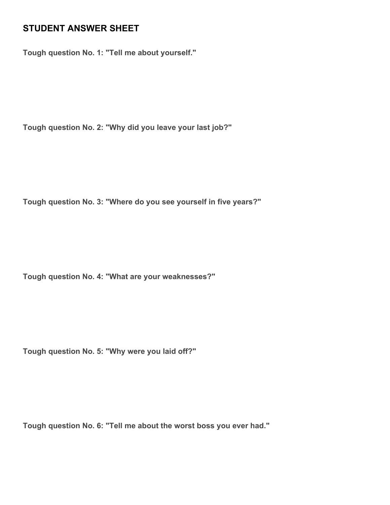# **STUDENT ANSWER SHEET**

**Tough question No. 1: "Tell me about yourself."**

**Tough question No. 2: "Why did you leave your last job?"**

**Tough question No. 3: "Where do you see yourself in five years?"**

**Tough question No. 4: "What are your weaknesses?"**

**Tough question No. 5: "Why were you laid off?"**

**Tough question No. 6: "Tell me about the worst boss you ever had."**